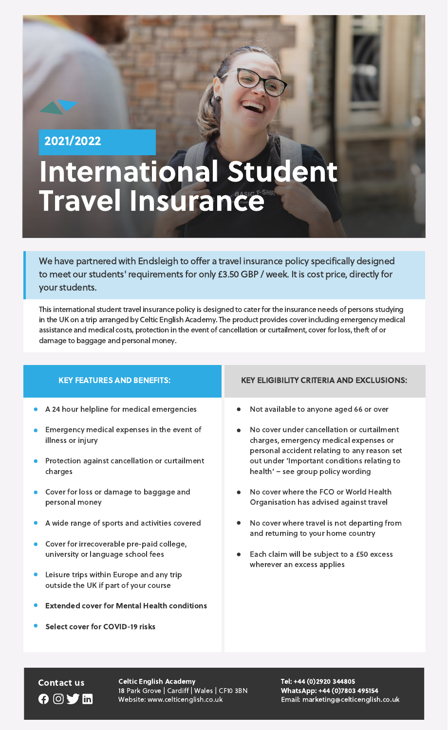This international student travel insurance policy is designed to cater for the insurance needs of persons studying in the UK on a trip arranged by Celtic English Academy. The product provides coverincluding emergency medical assistance and medical costs, protection in the event of cancellation or curtailment, cover for loss, theft of or damage to baggage and personal money.

We have partnered with Endsleigh to offer a travel insurance policy specifically designed to meet our students' requirements for only £3.50 GBP / week. It is cost price, directly for

Contact us Celtic English Academy Tel: +44 (0)2920 344805 18 Park Grove | Cardiff | Wales | CF10 3BN Website: www.celticenglish.co.uk

#### your students.

WhatsApp: +44 (0)7803 495154 Email: marketing@celticenglish.co.uk

- Each claim will be subject to a £50 excess wherever an excess applies
- Leisure trips within Europe and any trip outside the UK if part of your course
- Extended cover for Mental Health conditions  $\bullet$
- Select cover for COVID-19 risks  $\bullet$

## GOVI

# International Student Travel Insuran<sup>eAsic T-SHIP</sup>

| <b>KEY FEATURES AND BENEFITS:</b>                               | <b>KEY ELIGIBILITY CRITERIA AND EXCLUSIONS:</b>                                                                                      |
|-----------------------------------------------------------------|--------------------------------------------------------------------------------------------------------------------------------------|
| • A 24 hour helpline for medical emergencies                    | Not available to anyone aged 66 or over<br>$\bullet$                                                                                 |
| Emergency medical expenses in the event of<br>illness or injury | No cover under cancellation or curtailment<br>charges, emergency medical expenses or<br>personal accident relating to any reason set |
| Protection against cancellation or curtailment<br>charges       | out under 'Important conditions relating to<br>health' - see group policy wording                                                    |
| Cover for loss or damage to baggage and<br>personal money       | No cover where the FCO or World Health<br>Organisation has advised against travel                                                    |
| A wide range of sports and activities covered                   | No cover where travel is not departing from<br>and returning to your home country                                                    |
| Cover for irrecoverable pre-paid college,                       |                                                                                                                                      |
| university or language school fees                              | Each claim will be subject to a £50 excess                                                                                           |

2021/2022